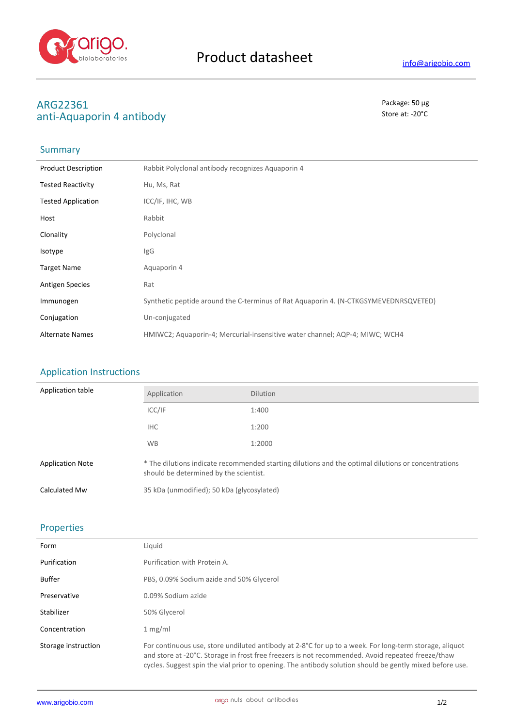

# ARG22361<br>
anti-Λαμαροτίη *Λ*απτίρου της Στινικής της Ευρώπης της Ευρώπης της Ευρώπης της Βασικής του Βασικής του Βασικό τ<br>
Store at: -20°C anti-Aquaporin 4 antibody

## Summary

| <b>Product Description</b> | Rabbit Polyclonal antibody recognizes Aquaporin 4                                    |
|----------------------------|--------------------------------------------------------------------------------------|
| <b>Tested Reactivity</b>   | Hu, Ms, Rat                                                                          |
| <b>Tested Application</b>  | ICC/IF, IHC, WB                                                                      |
| Host                       | Rabbit                                                                               |
| Clonality                  | Polyclonal                                                                           |
| Isotype                    | IgG                                                                                  |
| <b>Target Name</b>         | Aquaporin 4                                                                          |
| <b>Antigen Species</b>     | Rat                                                                                  |
| Immunogen                  | Synthetic peptide around the C-terminus of Rat Aquaporin 4. (N-CTKGSYMEVEDNRSQVETED) |
| Conjugation                | Un-conjugated                                                                        |
| <b>Alternate Names</b>     | HMIWC2; Aquaporin-4; Mercurial-insensitive water channel; AQP-4; MIWC; WCH4          |

### Application Instructions

| Application table       | Application                                                                                                                                   | <b>Dilution</b> |
|-------------------------|-----------------------------------------------------------------------------------------------------------------------------------------------|-----------------|
|                         | ICC/IF                                                                                                                                        | 1:400           |
|                         | <b>IHC</b>                                                                                                                                    | 1:200           |
|                         | <b>WB</b>                                                                                                                                     | 1:2000          |
| <b>Application Note</b> | * The dilutions indicate recommended starting dilutions and the optimal dilutions or concentrations<br>should be determined by the scientist. |                 |
| Calculated Mw           | 35 kDa (unmodified); 50 kDa (glycosylated)                                                                                                    |                 |

## Properties

| Form                | Liauid                                                                                                                                                                                                                                                                                                                  |
|---------------------|-------------------------------------------------------------------------------------------------------------------------------------------------------------------------------------------------------------------------------------------------------------------------------------------------------------------------|
| Purification        | Purification with Protein A.                                                                                                                                                                                                                                                                                            |
| Buffer              | PBS, 0.09% Sodium azide and 50% Glycerol                                                                                                                                                                                                                                                                                |
| Preservative        | 0.09% Sodium azide                                                                                                                                                                                                                                                                                                      |
| Stabilizer          | 50% Glycerol                                                                                                                                                                                                                                                                                                            |
| Concentration       | 1 mg/ml                                                                                                                                                                                                                                                                                                                 |
| Storage instruction | For continuous use, store undiluted antibody at 2-8°C for up to a week. For long-term storage, aliquot<br>and store at -20°C. Storage in frost free freezers is not recommended. Avoid repeated freeze/thaw<br>cycles. Suggest spin the vial prior to opening. The antibody solution should be gently mixed before use. |